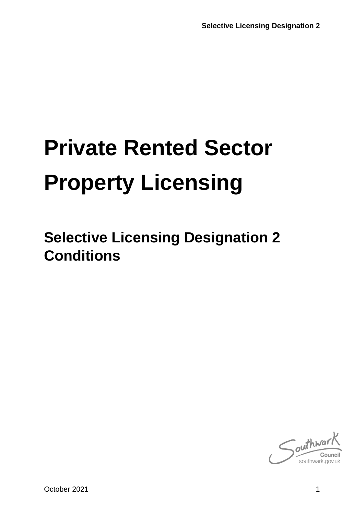# **Private Rented Sector Property Licensing**

**Selective Licensing Designation 2 Conditions**

 $\int$ outhwa southwark.go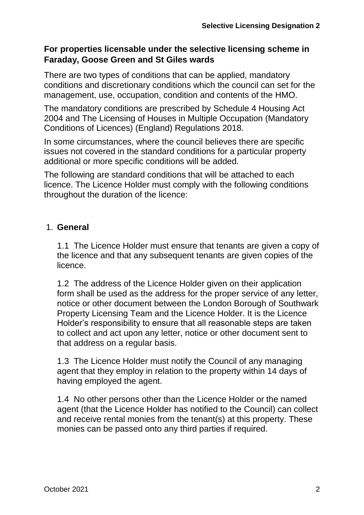#### **For properties licensable under the selective licensing scheme in Faraday, Goose Green and St Giles wards**

There are two types of conditions that can be applied, mandatory conditions and discretionary conditions which the council can set for the management, use, occupation, condition and contents of the HMO.

The mandatory conditions are prescribed by Schedule 4 Housing Act 2004 and The Licensing of Houses in Multiple Occupation (Mandatory Conditions of Licences) (England) Regulations 2018.

In some circumstances, where the council believes there are specific issues not covered in the standard conditions for a particular property additional or more specific conditions will be added.

The following are standard conditions that will be attached to each licence. The Licence Holder must comply with the following conditions throughout the duration of the licence:

## 1. **General**

1.1 The Licence Holder must ensure that tenants are given a copy of the licence and that any subsequent tenants are given copies of the licence.

1.2 The address of the Licence Holder given on their application form shall be used as the address for the proper service of any letter, notice or other document between the London Borough of Southwark Property Licensing Team and the Licence Holder. It is the Licence Holder's responsibility to ensure that all reasonable steps are taken to collect and act upon any letter, notice or other document sent to that address on a regular basis.

1.3 The Licence Holder must notify the Council of any managing agent that they employ in relation to the property within 14 days of having employed the agent.

1.4 No other persons other than the Licence Holder or the named agent (that the Licence Holder has notified to the Council) can collect and receive rental monies from the tenant(s) at this property. These monies can be passed onto any third parties if required.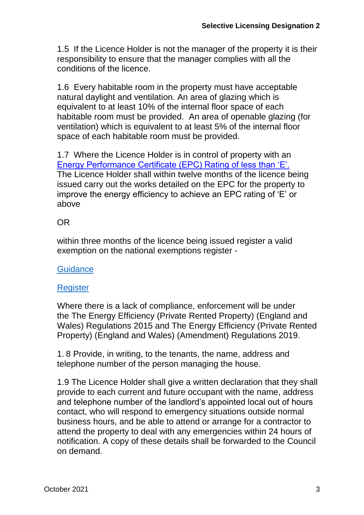1.5 If the Licence Holder is not the manager of the property it is their responsibility to ensure that the manager complies with all the conditions of the licence.

1.6 Every habitable room in the property must have acceptable natural daylight and ventilation. An area of glazing which is equivalent to at least 10% of the internal floor space of each habitable room must be provided. An area of openable glazing (for ventilation) which is equivalent to at least 5% of the internal floor space of each habitable room must be provided.

1.7 Where the Licence Holder is in control of property with an [Energy Performance Certificate \(EPC\) Rating of less than 'E'.](https://www.gov.uk/guidance/domestic-private-rented-property-minimum-energy-efficiency-standard-landlord-guidance) The Licence Holder shall within twelve months of the licence being issued carry out the works detailed on the EPC for the property to improve the energy efficiency to achieve an EPC rating of 'E' or above

#### OR

within three months of the licence being issued register a valid exemption on the national exemptions register -

#### **[Guidance](https://www.gov.uk/government/publications/private-rented-sector-minimum-energy-efficiency-standard-exemptions)**

#### **[Register](https://prsregister.beis.gov.uk/NdsBeisUi/used-service-before)**

Where there is a lack of compliance, enforcement will be under the The Energy Efficiency (Private Rented Property) (England and Wales) Regulations 2015 and The Energy Efficiency (Private Rented Property) (England and Wales) (Amendment) Regulations 2019.

1. 8 Provide, in writing, to the tenants, the name, address and telephone number of the person managing the house.

1.9 The Licence Holder shall give a written declaration that they shall provide to each current and future occupant with the name, address and telephone number of the landlord's appointed local out of hours contact, who will respond to emergency situations outside normal business hours, and be able to attend or arrange for a contractor to attend the property to deal with any emergencies within 24 hours of notification. A copy of these details shall be forwarded to the Council on demand.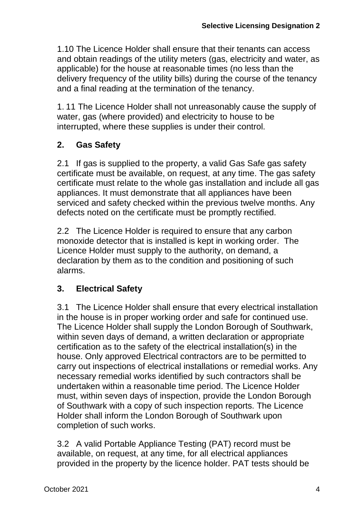1.10 The Licence Holder shall ensure that their tenants can access and obtain readings of the utility meters (gas, electricity and water, as applicable) for the house at reasonable times (no less than the delivery frequency of the utility bills) during the course of the tenancy and a final reading at the termination of the tenancy.

1. 11 The Licence Holder shall not unreasonably cause the supply of water, gas (where provided) and electricity to house to be interrupted, where these supplies is under their control.

# **2. Gas Safety**

2.1 If gas is supplied to the property, a valid Gas Safe gas safety certificate must be available, on request, at any time. The gas safety certificate must relate to the whole gas installation and include all gas appliances. It must demonstrate that all appliances have been serviced and safety checked within the previous twelve months. Any defects noted on the certificate must be promptly rectified.

2.2 The Licence Holder is required to ensure that any carbon monoxide detector that is installed is kept in working order. The Licence Holder must supply to the authority, on demand, a declaration by them as to the condition and positioning of such alarms.

# **3. Electrical Safety**

3.1 The Licence Holder shall ensure that every electrical installation in the house is in proper working order and safe for continued use. The Licence Holder shall supply the London Borough of Southwark, within seven days of demand, a written declaration or appropriate certification as to the safety of the electrical installation(s) in the house. Only approved Electrical contractors are to be permitted to carry out inspections of electrical installations or remedial works. Any necessary remedial works identified by such contractors shall be undertaken within a reasonable time period. The Licence Holder must, within seven days of inspection, provide the London Borough of Southwark with a copy of such inspection reports. The Licence Holder shall inform the London Borough of Southwark upon completion of such works.

3.2 A valid Portable Appliance Testing (PAT) record must be available, on request, at any time, for all electrical appliances provided in the property by the licence holder. PAT tests should be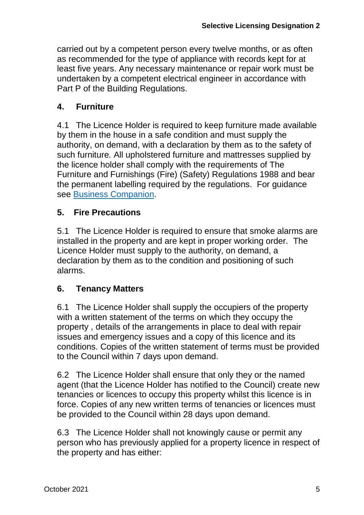carried out by a competent person every twelve months, or as often as recommended for the type of appliance with records kept for at least five years. Any necessary maintenance or repair work must be undertaken by a competent electrical engineer in accordance with Part P of the Building Regulations.

# **4. Furniture**

4.1 The Licence Holder is required to keep furniture made available by them in the house in a safe condition and must supply the authority, on demand, with a declaration by them as to the safety of such furniture*.* All upholstered furniture and mattresses supplied by the licence holder shall comply with the requirements of The Furniture and Furnishings (Fire) (Safety) Regulations 1988 and bear the permanent labelling required by the regulations. For guidance see [Business Companion.](http://www.businesscompanion.info/en/quick-guides/product-safety/goods-in-rented-accommodation)

## **5. Fire Precautions**

5.1 The Licence Holder is required to ensure that smoke alarms are installed in the property and are kept in proper working order. The Licence Holder must supply to the authority, on demand, a declaration by them as to the condition and positioning of such alarms.

## **6. Tenancy Matters**

6.1 The Licence Holder shall supply the occupiers of the property with a written statement of the terms on which they occupy the property , details of the arrangements in place to deal with repair issues and emergency issues and a copy of this licence and its conditions. Copies of the written statement of terms must be provided to the Council within 7 days upon demand.

6.2 The Licence Holder shall ensure that only they or the named agent (that the Licence Holder has notified to the Council) create new tenancies or licences to occupy this property whilst this licence is in force. Copies of any new written terms of tenancies or licences must be provided to the Council within 28 days upon demand.

6.3 The Licence Holder shall not knowingly cause or permit any person who has previously applied for a property licence in respect of the property and has either: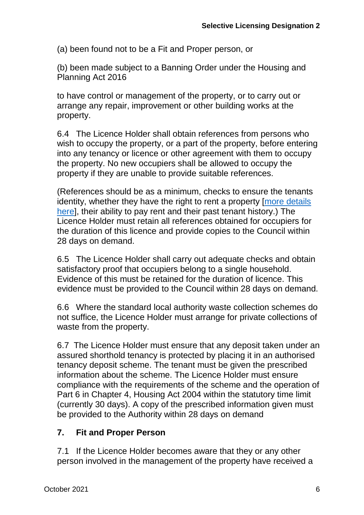(a) been found not to be a Fit and Proper person, or

(b) been made subject to a Banning Order under the Housing and Planning Act 2016

to have control or management of the property, or to carry out or arrange any repair, improvement or other building works at the property.

6.4 The Licence Holder shall obtain references from persons who wish to occupy the property, or a part of the property, before entering into any tenancy or licence or other agreement with them to occupy the property. No new occupiers shall be allowed to occupy the property if they are unable to provide suitable references.

(References should be as a minimum, checks to ensure the tenants identity, whether they have the right to rent a property [\[more details](https://www.gov.uk/check-tenant-right-to-rent-documents/who-to-check)  [here\]](https://www.gov.uk/check-tenant-right-to-rent-documents/who-to-check), their ability to pay rent and their past tenant history.) The Licence Holder must retain all references obtained for occupiers for the duration of this licence and provide copies to the Council within 28 days on demand.

6.5 The Licence Holder shall carry out adequate checks and obtain satisfactory proof that occupiers belong to a single household. Evidence of this must be retained for the duration of licence. This evidence must be provided to the Council within 28 days on demand.

6.6 Where the standard local authority waste collection schemes do not suffice, the Licence Holder must arrange for private collections of waste from the property.

6.7 The Licence Holder must ensure that any deposit taken under an assured shorthold tenancy is protected by placing it in an authorised tenancy deposit scheme. The tenant must be given the prescribed information about the scheme. The Licence Holder must ensure compliance with the requirements of the scheme and the operation of Part 6 in Chapter 4, Housing Act 2004 within the statutory time limit (currently 30 days). A copy of the prescribed information given must be provided to the Authority within 28 days on demand

#### **7. Fit and Proper Person**

7.1 If the Licence Holder becomes aware that they or any other person involved in the management of the property have received a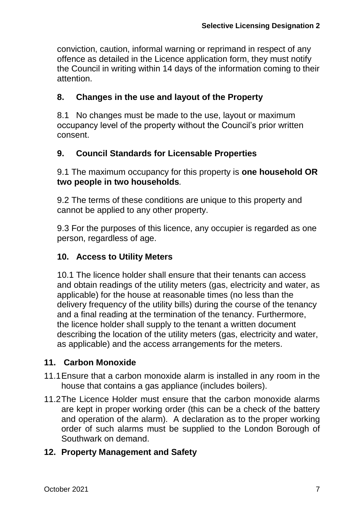conviction, caution, informal warning or reprimand in respect of any offence as detailed in the Licence application form, they must notify the Council in writing within 14 days of the information coming to their attention.

# **8. Changes in the use and layout of the Property**

8.1 No changes must be made to the use, layout or maximum occupancy level of the property without the Council's prior written consent.

## **9. Council Standards for Licensable Properties**

9.1 The maximum occupancy for this property is **one household OR two people in two households***.*

9.2 The terms of these conditions are unique to this property and cannot be applied to any other property.

9.3 For the purposes of this licence, any occupier is regarded as one person, regardless of age.

## **10. Access to Utility Meters**

10.1 The licence holder shall ensure that their tenants can access and obtain readings of the utility meters (gas, electricity and water, as applicable) for the house at reasonable times (no less than the delivery frequency of the utility bills) during the course of the tenancy and a final reading at the termination of the tenancy. Furthermore, the licence holder shall supply to the tenant a written document describing the location of the utility meters (gas, electricity and water, as applicable) and the access arrangements for the meters.

## **11. Carbon Monoxide**

- 11.1Ensure that a carbon monoxide alarm is installed in any room in the house that contains a gas appliance (includes boilers).
- 11.2The Licence Holder must ensure that the carbon monoxide alarms are kept in proper working order (this can be a check of the battery and operation of the alarm). A declaration as to the proper working order of such alarms must be supplied to the London Borough of Southwark on demand.

## **12. Property Management and Safety**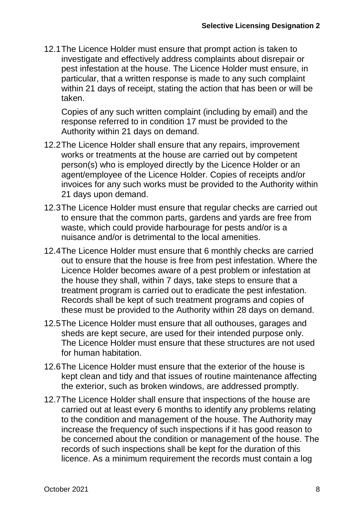12.1The Licence Holder must ensure that prompt action is taken to investigate and effectively address complaints about disrepair or pest infestation at the house. The Licence Holder must ensure, in particular, that a written response is made to any such complaint within 21 days of receipt, stating the action that has been or will be taken.

Copies of any such written complaint (including by email) and the response referred to in condition 17 must be provided to the Authority within 21 days on demand.

- 12.2The Licence Holder shall ensure that any repairs, improvement works or treatments at the house are carried out by competent person(s) who is employed directly by the Licence Holder or an agent/employee of the Licence Holder. Copies of receipts and/or invoices for any such works must be provided to the Authority within 21 days upon demand.
- 12.3The Licence Holder must ensure that regular checks are carried out to ensure that the common parts, gardens and yards are free from waste, which could provide harbourage for pests and/or is a nuisance and/or is detrimental to the local amenities.
- 12.4The Licence Holder must ensure that 6 monthly checks are carried out to ensure that the house is free from pest infestation. Where the Licence Holder becomes aware of a pest problem or infestation at the house they shall, within 7 days, take steps to ensure that a treatment program is carried out to eradicate the pest infestation. Records shall be kept of such treatment programs and copies of these must be provided to the Authority within 28 days on demand.
- 12.5The Licence Holder must ensure that all outhouses, garages and sheds are kept secure, are used for their intended purpose only. The Licence Holder must ensure that these structures are not used for human habitation.
- 12.6The Licence Holder must ensure that the exterior of the house is kept clean and tidy and that issues of routine maintenance affecting the exterior, such as broken windows, are addressed promptly.
- 12.7The Licence Holder shall ensure that inspections of the house are carried out at least every 6 months to identify any problems relating to the condition and management of the house. The Authority may increase the frequency of such inspections if it has good reason to be concerned about the condition or management of the house. The records of such inspections shall be kept for the duration of this licence. As a minimum requirement the records must contain a log